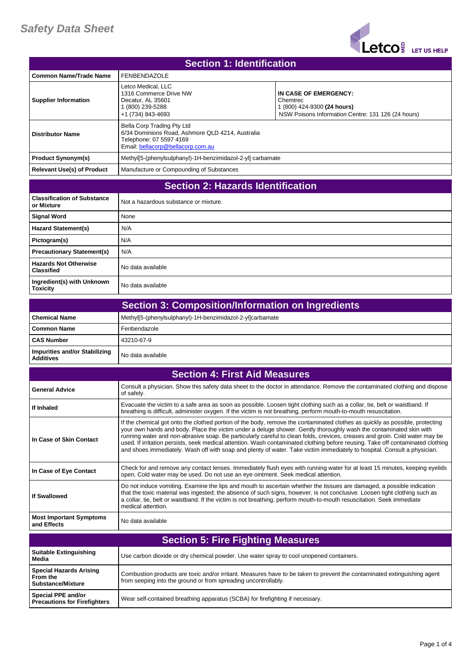

| <b>Section 1: Identification</b>         |                                                                                                                                                |                                                                                                                        |
|------------------------------------------|------------------------------------------------------------------------------------------------------------------------------------------------|------------------------------------------------------------------------------------------------------------------------|
| <b>Common Name/Trade Name</b>            | <b>FENBENDAZOLE</b>                                                                                                                            |                                                                                                                        |
| <b>Supplier Information</b>              | Letco Medical. LLC<br>1316 Commerce Drive NW<br>Decatur, AL 35601<br>1 (800) 239-5288<br>+1 (734) 843-4693                                     | IN CASE OF EMERGENCY:<br>Chemtrec<br>1 (800) 424-9300 (24 hours)<br>NSW Poisons Information Centre: 131 126 (24 hours) |
| <b>Distributor Name</b>                  | Bella Corp Trading Pty Ltd<br>6/34 Dominions Road, Ashmore QLD 4214, Australia<br>Telephone: 07 5597 4169<br>Email: bellacorp@bellacorp.com.au |                                                                                                                        |
| <b>Product Synonym(s)</b>                | Methyl[5-(phenylsulphanyl)-1H-benzimidazol-2-yl] carbamate                                                                                     |                                                                                                                        |
| <b>Relevant Use(s) of Product</b>        | Manufacture or Compounding of Substances                                                                                                       |                                                                                                                        |
| <b>Section 2: Hazards Identification</b> |                                                                                                                                                |                                                                                                                        |

| <u>ovviivii 21 ilgedigo idviitiilvativii</u>      |                                       |
|---------------------------------------------------|---------------------------------------|
| <b>Classification of Substance</b><br>or Mixture  | Not a hazardous substance or mixture. |
| <b>Signal Word</b>                                | None                                  |
| <b>Hazard Statement(s)</b>                        | N/A                                   |
| Pictogram(s)                                      | N/A                                   |
| <b>Precautionary Statement(s)</b>                 | N/A                                   |
| <b>Hazards Not Otherwise</b><br><b>Classified</b> | No data available                     |
| Ingredient(s) with Unknown<br><b>Toxicity</b>     | No data available                     |

|                                                   | Section 3: Composition/Information on Ingredients         |
|---------------------------------------------------|-----------------------------------------------------------|
| l Chemical Name                                   | Methyl[5-(phenylsulphanyl)-1H-benzimidazol-2-yl]carbamate |
| I Common Name                                     | Fenbendazole                                              |
| <b>CAS Number</b>                                 | 43210-67-9                                                |
| Impurities and/or Stabilizing<br><b>Additives</b> | No data available                                         |

| <b>Section 4: First Aid Measures</b>          |                                                                                                                                                                                                                                                                                                                                                                                                                                                                                                                                                                                                                                                  |
|-----------------------------------------------|--------------------------------------------------------------------------------------------------------------------------------------------------------------------------------------------------------------------------------------------------------------------------------------------------------------------------------------------------------------------------------------------------------------------------------------------------------------------------------------------------------------------------------------------------------------------------------------------------------------------------------------------------|
| <b>General Advice</b>                         | Consult a physician. Show this safety data sheet to the doctor in attendance. Remove the contaminated clothing and dispose<br>of safely.                                                                                                                                                                                                                                                                                                                                                                                                                                                                                                         |
| If Inhaled                                    | Evacuate the victim to a safe area as soon as possible. Loosen tight clothing such as a collar, tie, belt or waistband. If<br>breathing is difficult, administer oxygen. If the victim is not breathing, perform mouth-to-mouth resuscitation.                                                                                                                                                                                                                                                                                                                                                                                                   |
| In Case of Skin Contact                       | If the chemical got onto the clothed portion of the body, remove the contaminated clothes as quickly as possible, protecting<br>your own hands and body. Place the victim under a deluge shower. Gently thoroughly wash the contaminated skin with<br>running water and non-abrasive soap. Be particularly careful to clean folds, crevices, creases and groin. Cold water may be<br>used. If irritation persists, seek medical attention. Wash contaminated clothing before reusing. Take off contaminated clothing<br>and shoes immediately. Wash off with soap and plenty of water. Take victim immediately to hospital. Consult a physician. |
| In Case of Eye Contact                        | Check for and remove any contact lenses. Immediately flush eyes with running water for at least 15 minutes, keeping eyelids<br>open. Cold water may be used. Do not use an eye ointment. Seek medical attention.                                                                                                                                                                                                                                                                                                                                                                                                                                 |
| <b>If Swallowed</b>                           | Do not induce vomiting. Examine the lips and mouth to ascertain whether the tissues are damaged, a possible indication<br>that the toxic material was ingested; the absence of such signs, however, is not conclusive. Loosen tight clothing such as<br>a collar, tie, belt or waistband. If the victim is not breathing, perform mouth-to-mouth resuscitation. Seek immediate<br>medical attention.                                                                                                                                                                                                                                             |
| <b>Most Important Symptoms</b><br>and Effects | No data available                                                                                                                                                                                                                                                                                                                                                                                                                                                                                                                                                                                                                                |

| <b>Section 5: Fire Fighting Measures</b>                               |                                                                                                                                                                                            |
|------------------------------------------------------------------------|--------------------------------------------------------------------------------------------------------------------------------------------------------------------------------------------|
| <b>Suitable Extinguishing</b><br>Media                                 | Use carbon dioxide or dry chemical powder. Use water spray to cool unopened containers.                                                                                                    |
| <b>Special Hazards Arising</b><br>From the<br><b>Substance/Mixture</b> | Combustion products are toxic and/or irritant. Measures have to be taken to prevent the contaminated extinguishing agent<br>from seeping into the ground or from spreading uncontrollably. |
| <b>Special PPE and/or</b><br><b>Precautions for Firefighters</b>       | Wear self-contained breathing apparatus (SCBA) for firefighting if necessary.                                                                                                              |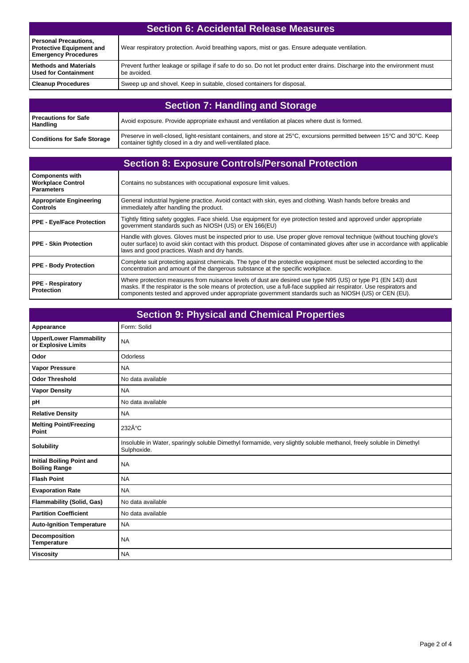| <b>Section 6: Accidental Release Measures</b>                                                  |                                                                                                                                           |
|------------------------------------------------------------------------------------------------|-------------------------------------------------------------------------------------------------------------------------------------------|
| <b>Personal Precautions,</b><br><b>Protective Equipment and</b><br><b>Emergency Procedures</b> | Wear respiratory protection. Avoid breathing vapors, mist or gas. Ensure adequate ventilation.                                            |
| <b>Methods and Materials</b><br><b>Used for Containment</b>                                    | Prevent further leakage or spillage if safe to do so. Do not let product enter drains. Discharge into the environment must<br>be avoided. |
| <b>Cleanup Procedures</b>                                                                      | Sweep up and shovel. Keep in suitable, closed containers for disposal.                                                                    |

| <b>Section 7: Handling and Storage</b>  |                                                                                                                                                                                          |
|-----------------------------------------|------------------------------------------------------------------------------------------------------------------------------------------------------------------------------------------|
| Precautions for Safe<br><b>Handling</b> | Avoid exposure. Provide appropriate exhaust and ventilation at places where dust is formed.                                                                                              |
| <b>Conditions for Safe Storage</b>      | Preserve in well-closed, light-resistant containers, and store at 25°C, excursions permitted between 15°C and 30°C. Keep<br>container tightly closed in a dry and well-ventilated place. |

## **Section 8: Exposure Controls/Personal Protection**

| <b>Components with</b><br><b>Workplace Control</b><br><b>Parameters</b> | Contains no substances with occupational exposure limit values.                                                                                                                                                                                                                                                                                  |
|-------------------------------------------------------------------------|--------------------------------------------------------------------------------------------------------------------------------------------------------------------------------------------------------------------------------------------------------------------------------------------------------------------------------------------------|
| <b>Appropriate Engineering</b><br><b>Controls</b>                       | General industrial hygiene practice. Avoid contact with skin, eyes and clothing. Wash hands before breaks and<br>immediately after handling the product.                                                                                                                                                                                         |
| <b>PPE - Eve/Face Protection</b>                                        | Tightly fitting safety goggles. Face shield. Use equipment for eye protection tested and approved under appropriate<br>government standards such as NIOSH (US) or EN 166(EU)                                                                                                                                                                     |
| PPE - Skin Protection                                                   | Handle with gloves. Gloves must be inspected prior to use. Use proper glove removal technique (without touching glove's<br>outer surface) to avoid skin contact with this product. Dispose of contaminated gloves after use in accordance with applicable<br>laws and good practices. Wash and dry hands.                                        |
| <b>PPE - Body Protection</b>                                            | Complete suit protecting against chemicals. The type of the protective equipment must be selected according to the<br>concentration and amount of the dangerous substance at the specific workplace.                                                                                                                                             |
| <b>PPE - Respiratory</b><br><b>Protection</b>                           | Where protection measures from nuisance levels of dust are desired use type N95 (US) or type P1 (EN 143) dust<br>masks. If the respirator is the sole means of protection, use a full-face supplied air respirator. Use respirators and<br>components tested and approved under appropriate government standards such as NIOSH (US) or CEN (EU). |

| <b>Section 9: Physical and Chemical Properties</b>       |                                                                                                                                     |
|----------------------------------------------------------|-------------------------------------------------------------------------------------------------------------------------------------|
| Appearance                                               | Form: Solid                                                                                                                         |
| <b>Upper/Lower Flammability</b><br>or Explosive Limits   | <b>NA</b>                                                                                                                           |
| Odor                                                     | Odorless                                                                                                                            |
| <b>Vapor Pressure</b>                                    | <b>NA</b>                                                                                                                           |
| <b>Odor Threshold</b>                                    | No data available                                                                                                                   |
| <b>Vapor Density</b>                                     | <b>NA</b>                                                                                                                           |
| pH                                                       | No data available                                                                                                                   |
| <b>Relative Density</b>                                  | <b>NA</b>                                                                                                                           |
| <b>Melting Point/Freezing</b><br>Point                   | 232°C                                                                                                                               |
| <b>Solubility</b>                                        | Insoluble in Water, sparingly soluble Dimethyl formamide, very slightly soluble methanol, freely soluble in Dimethyl<br>Sulphoxide. |
| <b>Initial Boiling Point and</b><br><b>Boiling Range</b> | <b>NA</b>                                                                                                                           |
| <b>Flash Point</b>                                       | <b>NA</b>                                                                                                                           |
| <b>Evaporation Rate</b>                                  | <b>NA</b>                                                                                                                           |
| <b>Flammability (Solid, Gas)</b>                         | No data available                                                                                                                   |
| <b>Partition Coefficient</b>                             | No data available                                                                                                                   |
| <b>Auto-Ignition Temperature</b>                         | <b>NA</b>                                                                                                                           |
| Decomposition<br><b>Temperature</b>                      | <b>NA</b>                                                                                                                           |
| <b>Viscosity</b>                                         | <b>NA</b>                                                                                                                           |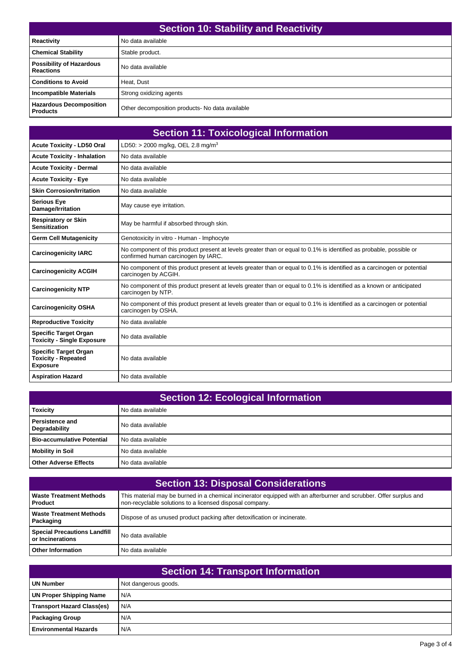| <b>Section 10: Stability and Reactivity</b>         |                                                |
|-----------------------------------------------------|------------------------------------------------|
| <b>Reactivity</b>                                   | No data available                              |
| <b>Chemical Stability</b>                           | Stable product.                                |
| <b>Possibility of Hazardous</b><br><b>Reactions</b> | No data available                              |
| <b>Conditions to Avoid</b>                          | Heat. Dust                                     |
| <b>Incompatible Materials</b>                       | Strong oxidizing agents                        |
| <b>Hazardous Decomposition</b><br><b>Products</b>   | Other decomposition products-No data available |

| <b>Section 11: Toxicological Information</b>                                  |                                                                                                                                                            |
|-------------------------------------------------------------------------------|------------------------------------------------------------------------------------------------------------------------------------------------------------|
| <b>Acute Toxicity - LD50 Oral</b>                                             | LD50: > 2000 mg/kg, OEL 2.8 mg/m <sup>3</sup>                                                                                                              |
| <b>Acute Toxicity - Inhalation</b>                                            | No data available                                                                                                                                          |
| <b>Acute Toxicity - Dermal</b>                                                | No data available                                                                                                                                          |
| <b>Acute Toxicity - Eye</b>                                                   | No data available                                                                                                                                          |
| <b>Skin Corrosion/Irritation</b>                                              | No data available                                                                                                                                          |
| <b>Serious Eye</b><br>Damage/Irritation                                       | May cause eye irritation.                                                                                                                                  |
| <b>Respiratory or Skin</b><br><b>Sensitization</b>                            | May be harmful if absorbed through skin.                                                                                                                   |
| <b>Germ Cell Mutagenicity</b>                                                 | Genotoxicity in vitro - Human - Imphocyte                                                                                                                  |
| <b>Carcinogenicity IARC</b>                                                   | No component of this product present at levels greater than or equal to 0.1% is identified as probable, possible or<br>confirmed human carcinogen by IARC. |
| <b>Carcinogenicity ACGIH</b>                                                  | No component of this product present at levels greater than or equal to 0.1% is identified as a carcinogen or potential<br>carcinogen by ACGIH.            |
| <b>Carcinogenicity NTP</b>                                                    | No component of this product present at levels greater than or equal to 0.1% is identified as a known or anticipated<br>carcinogen by NTP.                 |
| <b>Carcinogenicity OSHA</b>                                                   | No component of this product present at levels greater than or equal to 0.1% is identified as a carcinogen or potential<br>carcinogen by OSHA.             |
| <b>Reproductive Toxicity</b>                                                  | No data available                                                                                                                                          |
| <b>Specific Target Organ</b><br><b>Toxicity - Single Exposure</b>             | No data available                                                                                                                                          |
| <b>Specific Target Organ</b><br><b>Toxicity - Repeated</b><br><b>Exposure</b> | No data available                                                                                                                                          |
| <b>Aspiration Hazard</b>                                                      | No data available                                                                                                                                          |

| <b>Section 12: Ecological Information</b> |                   |
|-------------------------------------------|-------------------|
| <b>Toxicity</b>                           | No data available |
| Persistence and<br>Degradability          | No data available |
| <b>Bio-accumulative Potential</b>         | No data available |
| <b>Mobility in Soil</b>                   | No data available |
| <b>Other Adverse Effects</b>              | No data available |

| <b>Section 13: Disposal Considerations</b>              |                                                                                                                                                                                |  |
|---------------------------------------------------------|--------------------------------------------------------------------------------------------------------------------------------------------------------------------------------|--|
| <b>Waste Treatment Methods</b><br><b>Product</b>        | This material may be burned in a chemical incinerator equipped with an afterburner and scrubber. Offer surplus and<br>non-recyclable solutions to a licensed disposal company. |  |
| <b>Waste Treatment Methods</b><br>Packaging             | Dispose of as unused product packing after detoxification or incinerate.                                                                                                       |  |
| <b>Special Precautions Landfill</b><br>or Incinerations | No data available                                                                                                                                                              |  |
| <b>Other Information</b>                                | No data available                                                                                                                                                              |  |

| Section 14: Transport Information |                      |  |
|-----------------------------------|----------------------|--|
| <b>UN Number</b>                  | Not dangerous goods. |  |
| <b>UN Proper Shipping Name</b>    | N/A                  |  |
| <b>Transport Hazard Class(es)</b> | N/A                  |  |
| <b>Packaging Group</b>            | N/A                  |  |
| <b>Environmental Hazards</b>      | N/A                  |  |